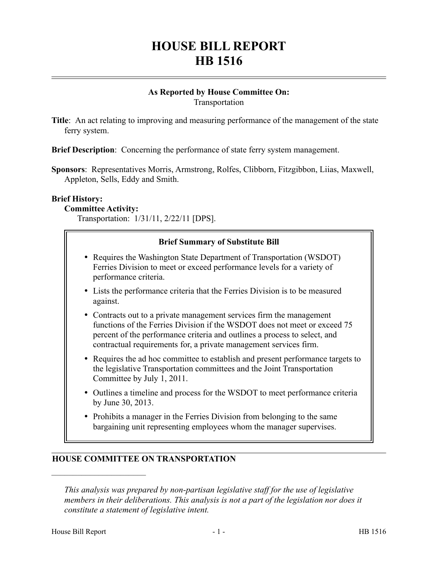# **HOUSE BILL REPORT HB 1516**

#### **As Reported by House Committee On:** Transportation

**Title**: An act relating to improving and measuring performance of the management of the state ferry system.

**Brief Description**: Concerning the performance of state ferry system management.

**Sponsors**: Representatives Morris, Armstrong, Rolfes, Clibborn, Fitzgibbon, Liias, Maxwell, Appleton, Sells, Eddy and Smith.

#### **Brief History:**

#### **Committee Activity:**

Transportation: 1/31/11, 2/22/11 [DPS].

## **Brief Summary of Substitute Bill** • Requires the Washington State Department of Transportation (WSDOT) Lists the performance criteria that the Ferries Division is to be measured Contracts out to a private management services firm the management Ferries Division to meet or exceed performance levels for a variety of performance criteria. against.

- functions of the Ferries Division if the WSDOT does not meet or exceed 75 percent of the performance criteria and outlines a process to select, and contractual requirements for, a private management services firm.
- Requires the ad hoc committee to establish and present performance targets to the legislative Transportation committees and the Joint Transportation Committee by July 1, 2011.
- Outlines a timeline and process for the WSDOT to meet performance criteria by June 30, 2013.
- Prohibits a manager in the Ferries Division from belonging to the same bargaining unit representing employees whom the manager supervises.

## **HOUSE COMMITTEE ON TRANSPORTATION**

––––––––––––––––––––––

*This analysis was prepared by non-partisan legislative staff for the use of legislative members in their deliberations. This analysis is not a part of the legislation nor does it constitute a statement of legislative intent.*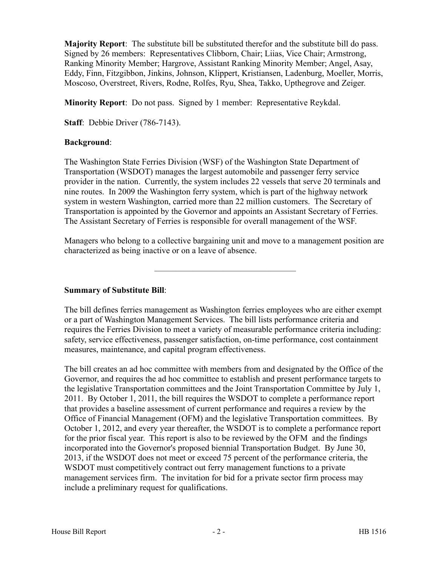**Majority Report**: The substitute bill be substituted therefor and the substitute bill do pass. Signed by 26 members: Representatives Clibborn, Chair; Liias, Vice Chair; Armstrong, Ranking Minority Member; Hargrove, Assistant Ranking Minority Member; Angel, Asay, Eddy, Finn, Fitzgibbon, Jinkins, Johnson, Klippert, Kristiansen, Ladenburg, Moeller, Morris, Moscoso, Overstreet, Rivers, Rodne, Rolfes, Ryu, Shea, Takko, Upthegrove and Zeiger.

**Minority Report**: Do not pass. Signed by 1 member: Representative Reykdal.

**Staff**: Debbie Driver (786-7143).

#### **Background**:

The Washington State Ferries Division (WSF) of the Washington State Department of Transportation (WSDOT) manages the largest automobile and passenger ferry service provider in the nation. Currently, the system includes 22 vessels that serve 20 terminals and nine routes. In 2009 the Washington ferry system, which is part of the highway network system in western Washington, carried more than 22 million customers. The Secretary of Transportation is appointed by the Governor and appoints an Assistant Secretary of Ferries. The Assistant Secretary of Ferries is responsible for overall management of the WSF.

Managers who belong to a collective bargaining unit and move to a management position are characterized as being inactive or on a leave of absence.

–––––––––––––––––––––––––––––––––

## **Summary of Substitute Bill**:

The bill defines ferries management as Washington ferries employees who are either exempt or a part of Washington Management Services. The bill lists performance criteria and requires the Ferries Division to meet a variety of measurable performance criteria including: safety, service effectiveness, passenger satisfaction, on-time performance, cost containment measures, maintenance, and capital program effectiveness.

The bill creates an ad hoc committee with members from and designated by the Office of the Governor, and requires the ad hoc committee to establish and present performance targets to the legislative Transportation committees and the Joint Transportation Committee by July 1, 2011. By October 1, 2011, the bill requires the WSDOT to complete a performance report that provides a baseline assessment of current performance and requires a review by the Office of Financial Management (OFM) and the legislative Transportation committees. By October 1, 2012, and every year thereafter, the WSDOT is to complete a performance report for the prior fiscal year. This report is also to be reviewed by the OFM and the findings incorporated into the Governor's proposed biennial Transportation Budget. By June 30, 2013, if the WSDOT does not meet or exceed 75 percent of the performance criteria, the WSDOT must competitively contract out ferry management functions to a private management services firm. The invitation for bid for a private sector firm process may include a preliminary request for qualifications.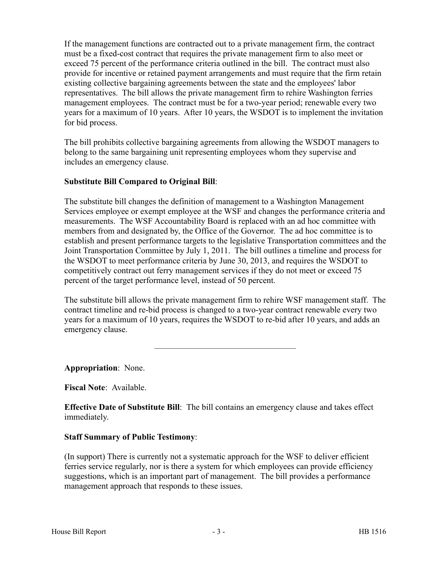If the management functions are contracted out to a private management firm, the contract must be a fixed-cost contract that requires the private management firm to also meet or exceed 75 percent of the performance criteria outlined in the bill. The contract must also provide for incentive or retained payment arrangements and must require that the firm retain existing collective bargaining agreements between the state and the employees' labor representatives. The bill allows the private management firm to rehire Washington ferries management employees. The contract must be for a two-year period; renewable every two years for a maximum of 10 years. After 10 years, the WSDOT is to implement the invitation for bid process.

The bill prohibits collective bargaining agreements from allowing the WSDOT managers to belong to the same bargaining unit representing employees whom they supervise and includes an emergency clause.

## **Substitute Bill Compared to Original Bill**:

The substitute bill changes the definition of management to a Washington Management Services employee or exempt employee at the WSF and changes the performance criteria and measurements. The WSF Accountability Board is replaced with an ad hoc committee with members from and designated by, the Office of the Governor. The ad hoc committee is to establish and present performance targets to the legislative Transportation committees and the Joint Transportation Committee by July 1, 2011. The bill outlines a timeline and process for the WSDOT to meet performance criteria by June 30, 2013, and requires the WSDOT to competitively contract out ferry management services if they do not meet or exceed 75 percent of the target performance level, instead of 50 percent.

The substitute bill allows the private management firm to rehire WSF management staff. The contract timeline and re-bid process is changed to a two-year contract renewable every two years for a maximum of 10 years, requires the WSDOT to re-bid after 10 years, and adds an emergency clause.

–––––––––––––––––––––––––––––––––

**Appropriation**: None.

**Fiscal Note**: Available.

**Effective Date of Substitute Bill**: The bill contains an emergency clause and takes effect immediately.

## **Staff Summary of Public Testimony**:

(In support) There is currently not a systematic approach for the WSF to deliver efficient ferries service regularly, nor is there a system for which employees can provide efficiency suggestions, which is an important part of management. The bill provides a performance management approach that responds to these issues.